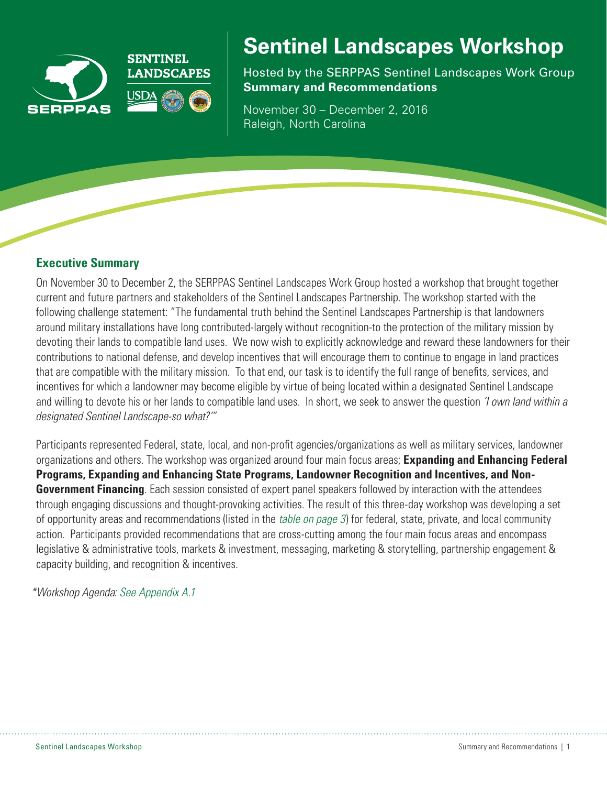



# **Sentinel Landscapes Workshop**

Hosted by the SERPPAS Sentinel Landscapes Work Group **Summary and Recommendations** 

November 30 – December 2, 2016 Raleigh, North Carolina

## **Executive Summary**

On November 30 to December 2, the SERPPAS Sentinel Landscapes Work Group hosted a workshop that brought together current and future partners and stakeholders of the Sentinel Landscapes Partnership. The workshop started with the following challenge statement: "The fundamental truth behind the Sentinel Landscapes Partnership is that landowners around military installations have long contributed-largely without recognition-to the protection of the military mission by devoting their lands to compatible land uses. We now wish to explicitly acknowledge and reward these landowners for their contributions to national defense, and develop incentives that will encourage them to continue to engage in land practices that are compatible with the military mission. To that end, our task is to identify the full range of benefits, services, and incentives for which a landowner may become eligible by virtue of being located within a designated Sentinel Landscape and willing to devote his or her lands to compatible land uses. In short, we seek to answer the question *'I own land within a designated Sentinel Landscape-so what?'"*

Participants represented Federal, state, local, and non-profit agencies/organizations as well as military services, landowner organizations and others. The workshop was organized around four main focus areas; **Expanding and Enhancing Federal Programs, Expanding and Enhancing State Programs, Landowner Recognition and Incentives, and Non-Government Financing**. Each session consisted of expert panel speakers followed by interaction with the attendees through engaging discussions and thought-provoking activities. The result of this three-day workshop was developing a set of opportunity areas and recommendations (listed in the *[table on page 3](#page-2-0)*) for federal, state, private, and local community action. Participants provided recommendations that are cross-cutting among the four main focus areas and encompass legislative & administrative tools, markets & investment, messaging, marketing & storytelling, partnership engagement & capacity building, and recognition & incentives.

*\*Workshop Agenda: [See Appendix A.1](#page-4-0)*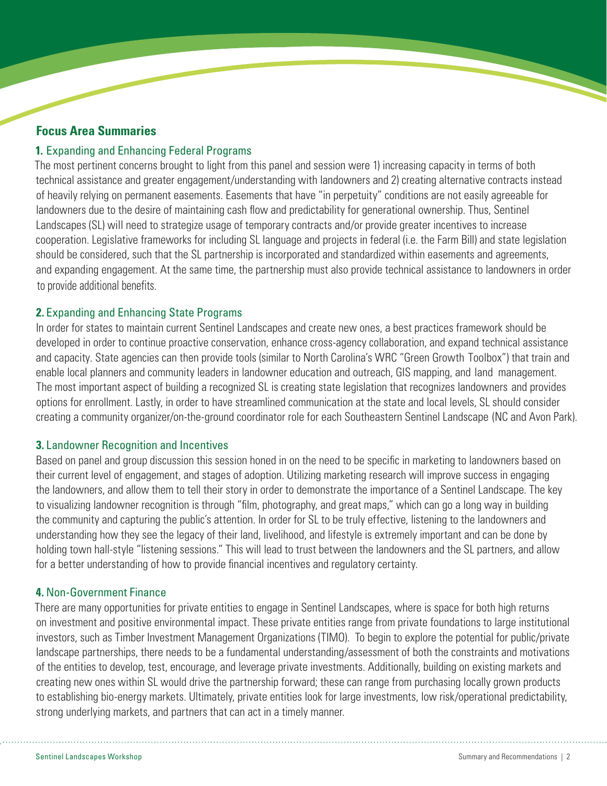### **Focus Area Summaries**

#### **1.** Expanding and Enhancing Federal Programs

The most pertinent concerns brought to light from this panel and session were 1) increasing capacity in terms of both technical assistance and greater engagement/understanding with landowners and 2) creating alternative contracts instead of heavily relying on permanent easements. Easements that have "in perpetuity" conditions are not easily agreeable for landowners due to the desire of maintaining cash flow and predictability for generational ownership. Thus, Sentinel Landscapes (SL) will need to strategize usage of temporary contracts and/or provide greater incentives to increase cooperation. Legislative frameworks for including SL language and projects in federal (i.e. the Farm Bill) and state legislation should be considered, such that the SL partnership is incorporated and standardized within easements and agreements, and expanding engagement. At the same time, the partnership must also provide technical assistance to landowners in order to provide additional benefits.

#### **2.** Expanding and Enhancing State Programs

In order for states to maintain current Sentinel Landscapes and create new ones, a best practices framework should be developed in order to continue proactive conservation, enhance cross-agency collaboration, and expand technical assistance and capacity. State agencies can then provide tools (similar to North Carolina's WRC "Green Growth Toolbox") that train and enable local planners and community leaders in landowner education and outreach, GIS mapping, and land management. The most important aspect of building a recognized SL is creating state legislation that recognizes landowners and provides options for enrollment. Lastly, in order to have streamlined communication at the state and local levels, SL should consider creating a community organizer/on-the-ground coordinator role for each Southeastern Sentinel Landscape (NC and Avon Park).

#### **3.** Landowner Recognition and Incentives

Based on panel and group discussion this session honed in on the need to be specific in marketing to landowners based on their current level of engagement, and stages of adoption. Utilizing marketing research will improve success in engaging the landowners, and allow them to tell their story in order to demonstrate the importance of a Sentinel Landscape. The key to visualizing landowner recognition is through "film, photography, and great maps," which can go a long way in building the community and capturing the public's attention. In order for SL to be truly effective, listening to the landowners and understanding how they see the legacy of their land, livelihood, and lifestyle is extremely important and can be done by holding town hall-style "listening sessions." This will lead to trust between the landowners and the SL partners, and allow for a better understanding of how to provide financial incentives and regulatory certainty.

#### **4.** Non-Government Finance

There are many opportunities for private entities to engage in Sentinel Landscapes, where is space for both high returns on investment and positive environmental impact. These private entities range from private foundations to large institutional investors, such as Timber Investment Management Organizations (TIMO). To begin to explore the potential for public/private landscape partnerships, there needs to be a fundamental understanding/assessment of both the constraints and motivations of the entities to develop, test, encourage, and leverage private investments. Additionally, building on existing markets and creating new ones within SL would drive the partnership forward; these can range from purchasing locally grown products to establishing bio-energy markets. Ultimately, private entities look for large investments, low risk/operational predictability, strong underlying markets, and partners that can act in a timely manner.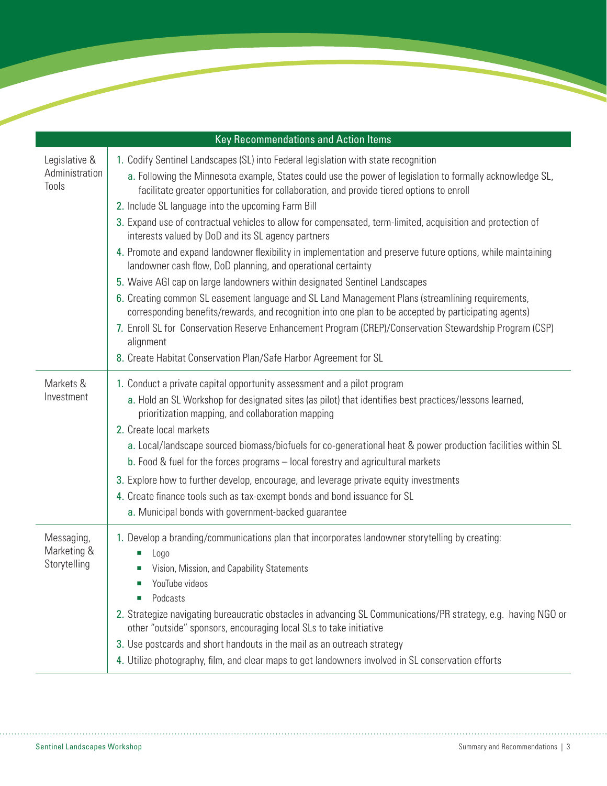<span id="page-2-0"></span>

| Key Recommendations and Action Items      |                                                                                                                                                                                                                                                                                                                                                                                                                                                                                                                                                                                                                                                                                                                                                                                                                                                                                                                                                                                                                                                                                                                                                                                               |  |  |
|-------------------------------------------|-----------------------------------------------------------------------------------------------------------------------------------------------------------------------------------------------------------------------------------------------------------------------------------------------------------------------------------------------------------------------------------------------------------------------------------------------------------------------------------------------------------------------------------------------------------------------------------------------------------------------------------------------------------------------------------------------------------------------------------------------------------------------------------------------------------------------------------------------------------------------------------------------------------------------------------------------------------------------------------------------------------------------------------------------------------------------------------------------------------------------------------------------------------------------------------------------|--|--|
| Legislative &<br>Administration<br>Tools  | 1. Codify Sentinel Landscapes (SL) into Federal legislation with state recognition<br>a. Following the Minnesota example, States could use the power of legislation to formally acknowledge SL,<br>facilitate greater opportunities for collaboration, and provide tiered options to enroll<br>2. Include SL language into the upcoming Farm Bill<br>3. Expand use of contractual vehicles to allow for compensated, term-limited, acquisition and protection of<br>interests valued by DoD and its SL agency partners<br>4. Promote and expand landowner flexibility in implementation and preserve future options, while maintaining<br>landowner cash flow, DoD planning, and operational certainty<br>5. Waive AGI cap on large landowners within designated Sentinel Landscapes<br>6. Creating common SL easement language and SL Land Management Plans (streamlining requirements,<br>corresponding benefits/rewards, and recognition into one plan to be accepted by participating agents)<br>7. Enroll SL for Conservation Reserve Enhancement Program (CREP)/Conservation Stewardship Program (CSP)<br>alignment<br>8. Create Habitat Conservation Plan/Safe Harbor Agreement for SL |  |  |
| Markets &<br>Investment                   | 1. Conduct a private capital opportunity assessment and a pilot program<br>a. Hold an SL Workshop for designated sites (as pilot) that identifies best practices/lessons learned,<br>prioritization mapping, and collaboration mapping<br>2. Create local markets<br>a. Local/landscape sourced biomass/biofuels for co-generational heat & power production facilities within SL<br>b. Food & fuel for the forces programs - local forestry and agricultural markets<br>3. Explore how to further develop, encourage, and leverage private equity investments<br>4. Create finance tools such as tax-exempt bonds and bond issuance for SL<br>a. Municipal bonds with government-backed guarantee                                                                                                                                                                                                                                                                                                                                                                                                                                                                                            |  |  |
| Messaging,<br>Marketing &<br>Storytelling | 1. Develop a branding/communications plan that incorporates landowner storytelling by creating:<br>Logo<br>Vision, Mission, and Capability Statements<br>YouTube videos<br>Podcasts<br>2. Strategize navigating bureaucratic obstacles in advancing SL Communications/PR strategy, e.g. having NGO or<br>other "outside" sponsors, encouraging local SLs to take initiative<br>3. Use postcards and short handouts in the mail as an outreach strategy<br>4. Utilize photography, film, and clear maps to get landowners involved in SL conservation efforts                                                                                                                                                                                                                                                                                                                                                                                                                                                                                                                                                                                                                                  |  |  |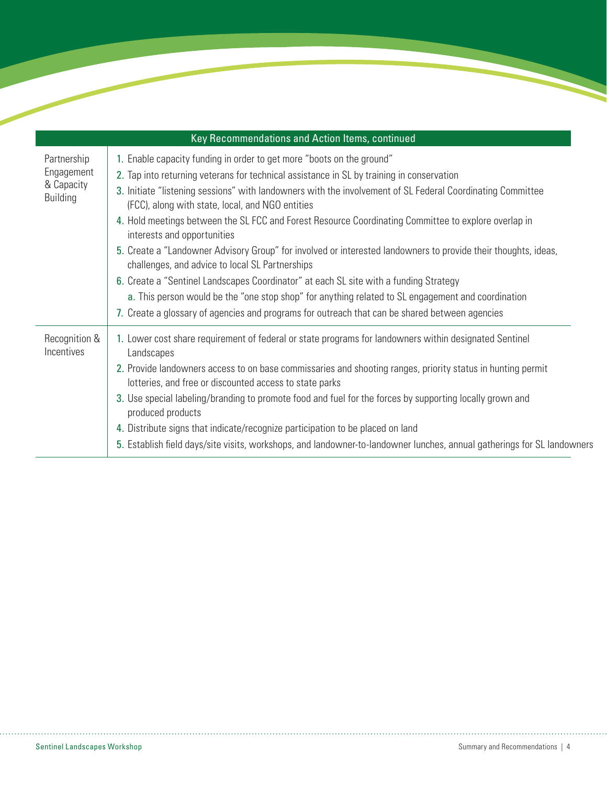| Key Recommendations and Action Items, continued            |                                                                                                                                                                        |  |  |
|------------------------------------------------------------|------------------------------------------------------------------------------------------------------------------------------------------------------------------------|--|--|
| Partnership<br>Engagement<br>& Capacity<br><b>Building</b> | 1. Enable capacity funding in order to get more "boots on the ground"                                                                                                  |  |  |
|                                                            | 2. Tap into returning veterans for technical assistance in SL by training in conservation                                                                              |  |  |
|                                                            | 3. Initiate "listening sessions" with landowners with the involvement of SL Federal Coordinating Committee<br>(FCC), along with state, local, and NGO entities         |  |  |
|                                                            | 4. Hold meetings between the SL FCC and Forest Resource Coordinating Committee to explore overlap in<br>interests and opportunities                                    |  |  |
|                                                            | 5. Create a "Landowner Advisory Group" for involved or interested landowners to provide their thoughts, ideas,<br>challenges, and advice to local SL Partnerships      |  |  |
|                                                            | 6. Create a "Sentinel Landscapes Coordinator" at each SL site with a funding Strategy                                                                                  |  |  |
|                                                            | a. This person would be the "one stop shop" for anything related to SL engagement and coordination                                                                     |  |  |
|                                                            | 7. Create a glossary of agencies and programs for outreach that can be shared between agencies                                                                         |  |  |
| Recognition &<br>Incentives                                | 1. Lower cost share requirement of federal or state programs for landowners within designated Sentinel<br>Landscapes                                                   |  |  |
|                                                            | 2. Provide landowners access to on base commissaries and shooting ranges, priority status in hunting permit<br>lotteries, and free or discounted access to state parks |  |  |
|                                                            | 3. Use special labeling/branding to promote food and fuel for the forces by supporting locally grown and<br>produced products                                          |  |  |
|                                                            | 4. Distribute signs that indicate/recognize participation to be placed on land                                                                                         |  |  |
|                                                            | 5. Establish field days/site visits, workshops, and landowner-to-landowner lunches, annual gatherings for SL landowners                                                |  |  |